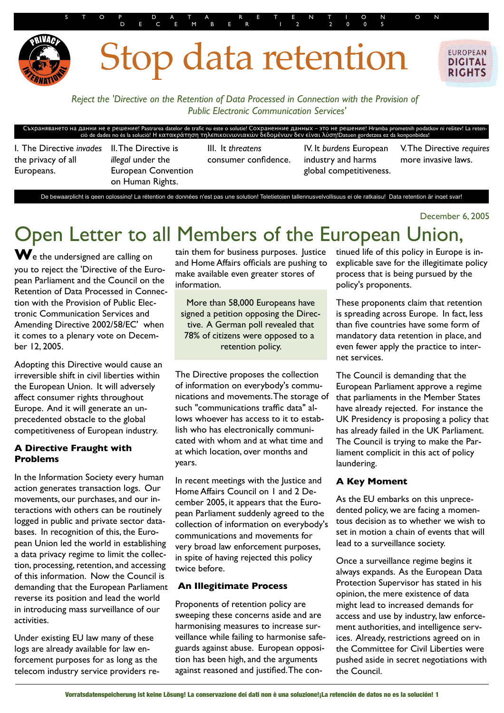

# Stop data retention

S T O P D A T A R E T E N T I O N O N D E C E M B E R 1 2 2 0 0 5



*Reject the 'Directive on the Retention of Data Processed in Connection with the Provision of Public Electronic Communication Services'*

#### Съхраняването на данни не е решение! Pastrarea datelor de trafic nu este o solutie! Сохраненние данных – это не решение! Hramba prometnih podatkov ni rešitev! La retenció de dades no és la solució! Η κατακράτηση τηλεπικοινωνιακών δεδομένων δεν είναι λύση!Datuen gordetzea ez da konponbidea!

I. The Directive *invades* the privacy of all Europeans.

II.The Directive is *illegal* under the European Convention on Human Rights.

III. It *threatens* consumer confidence. IV. It *burdens* European industry and harms global competitiveness.

V.The Directive *requires* more invasive laws.

De bewaarplicht is geen oplossing! La rétention de données n'est pas une solution! Teletietoien tallennusvelvollisuus ei ole ratkaisu! Data retention är inget svar!

December 6, 2005

## Open Letter to all Members of the European Union,

**W**e the undersigned are calling on you to reject the 'Directive of the European Parliament and the Council on the Retention of Data Processed in Connection with the Provision of Public Electronic Communication Services and Amending Directive 2002/58/EC' when it comes to a plenary vote on December 12, 2005.

Adopting this Directive would cause an irreversible shift in civil liberties within the European Union. It will adversely affect consumer rights throughout Europe. And it will generate an unprecedented obstacle to the global competitiveness of European industry.

## **A Directive Fraught with Problems**

In the Information Society every human action generates transaction logs. Our movements, our purchases, and our interactions with others can be routinely logged in public and private sector databases. In recognition of this, the European Union led the world in establishing a data privacy regime to limit the collection, processing, retention, and accessing of this information. Now the Council is demanding that the European Parliament reverse its position and lead the world in introducing mass surveillance of our activities.

Under existing EU law many of these logs are already available for law enforcement purposes for as long as the telecom industry service providers retain them for business purposes. Justice and Home Affairs officials are pushing to make available even greater stores of information.

More than 58,000 Europeans have signed a petition opposing the Directive. A German poll revealed that 78% of citizens were opposed to a retention policy.

The Directive proposes the collection of information on everybody's communications and movements.The storage of such "communications traffic data" allows whoever has access to it to establish who has electronically communicated with whom and at what time and at which location, over months and years.

In recent meetings with the Justice and Home Affairs Council on 1 and 2 December 2005, it appears that the European Parliament suddenly agreed to the collection of information on everybody's communications and movements for very broad law enforcement purposes, in spite of having rejected this policy twice before.

## **An Illegitimate Process**

Proponents of retention policy are sweeping these concerns aside and are harmonising measures to increase surveillance while failing to harmonise safeguards against abuse. European opposition has been high, and the arguments against reasoned and justified.The continued life of this policy in Europe is inexplicable save for the illegitimate policy process that is being pursued by the policy's proponents.

These proponents claim that retention is spreading across Europe. In fact, less than five countries have some form of mandatory data retention in place, and even fewer apply the practice to internet services.

The Council is demanding that the European Parliament approve a regime that parliaments in the Member States have already rejected. For instance the UK Presidency is proposing a policy that has already failed in the UK Parliament. The Council is trying to make the Parliament complicit in this act of policy laundering.

## **A Key Moment**

As the EU embarks on this unprecedented policy, we are facing a momentous decision as to whether we wish to set in motion a chain of events that will lead to a surveillance society.

Once a surveillance regime begins it always expands. As the European Data Protection Supervisor has stated in his opinion, the mere existence of data might lead to increased demands for access and use by industry, law enforcement authorities, and intelligence services. Already, restrictions agreed on in the Committee for Civil Liberties were pushed aside in secret negotiations with the Council.